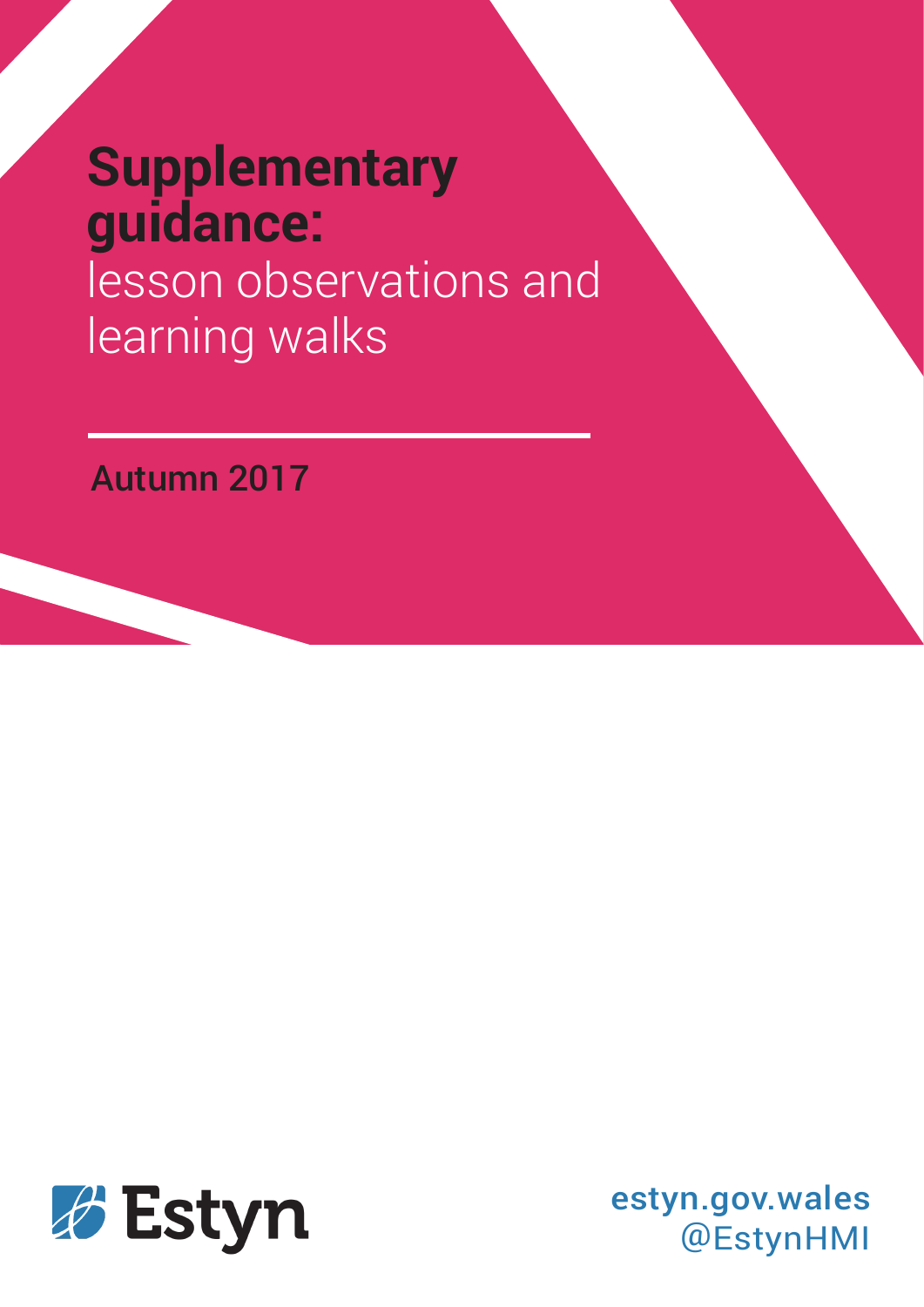# **Supplementary guidance:** lesson observations and

learning walks

Autumn 2017



estyn.gov.wales @EstynHMI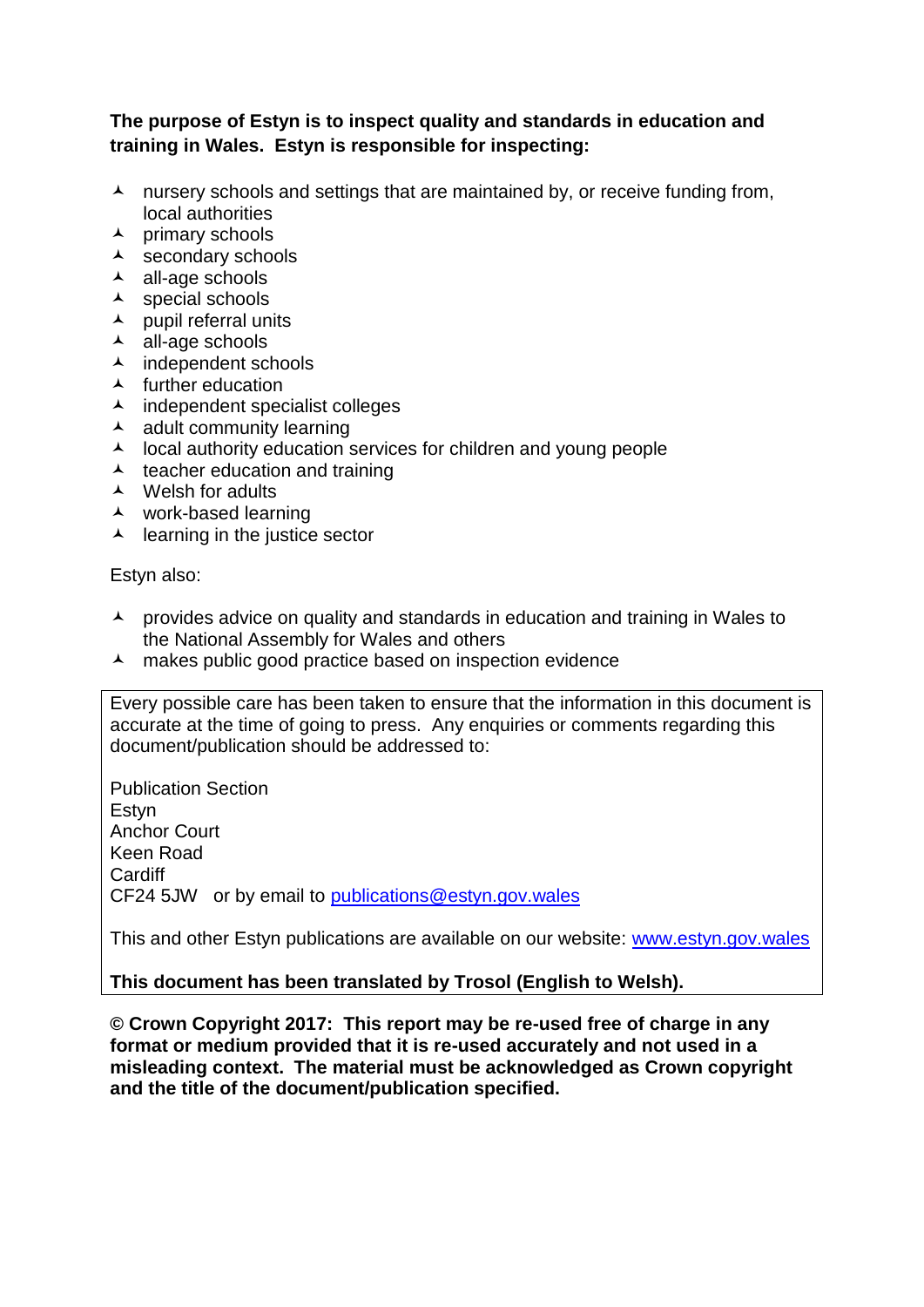#### **The purpose of Estyn is to inspect quality and standards in education and training in Wales. Estyn is responsible for inspecting:**

- $\lambda$  nursery schools and settings that are maintained by, or receive funding from, local authorities
- $\lambda$  primary schools
- $\overline{\phantom{a}}$  secondary schools
- $\lambda$  all-age schools
- $\lambda$  special schools
- $\lambda$  pupil referral units
- $\lambda$  all-age schools
- $\lambda$  independent schools
- $\blacktriangle$  further education
- $\lambda$  independent specialist colleges
- $\lambda$  adult community learning
- $\lambda$  local authority education services for children and young people
- $\lambda$  teacher education and training
- A Welsh for adults
- work-based learning
- $\lambda$  learning in the justice sector

Estyn also:

- $\lambda$  provides advice on quality and standards in education and training in Wales to the National Assembly for Wales and others
- A makes public good practice based on inspection evidence

Every possible care has been taken to ensure that the information in this document is accurate at the time of going to press. Any enquiries or comments regarding this document/publication should be addressed to:

Publication Section Estyn Anchor Court Keen Road **Cardiff** CF24 5JW or by email to [publications@estyn.gov.wales](mailto:publications@estyn.gov.wales)

This and other Estyn publications are available on our website: [www.estyn.gov.wales](http://www.estyn.gov.wales/)

#### **This document has been translated by Trosol (English to Welsh).**

**© Crown Copyright 2017: This report may be re-used free of charge in any format or medium provided that it is re-used accurately and not used in a misleading context. The material must be acknowledged as Crown copyright and the title of the document/publication specified.**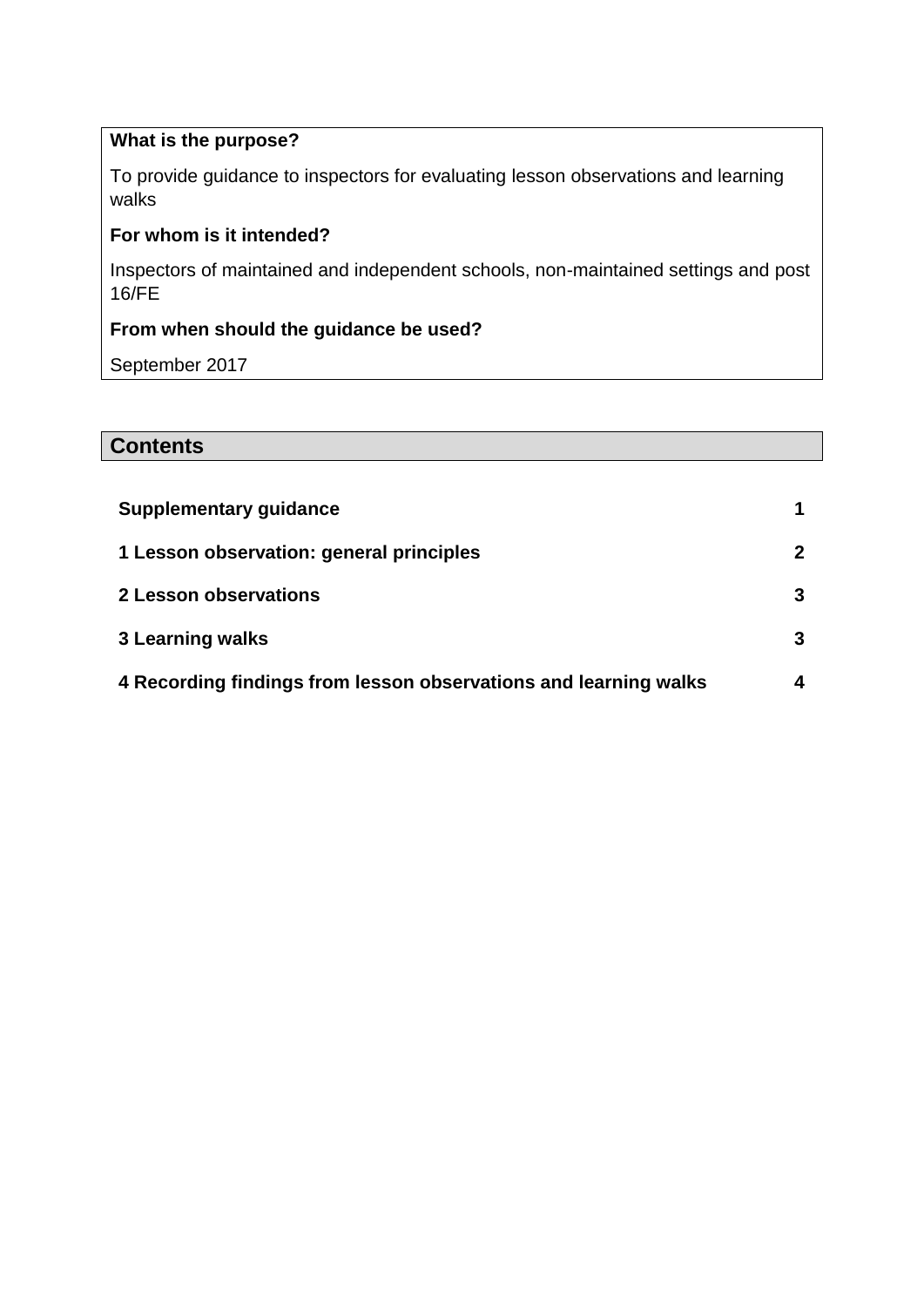# **What is the purpose?**

To provide guidance to inspectors for evaluating lesson observations and learning walks

# **For whom is it intended?**

Inspectors of maintained and independent schools, non-maintained settings and post 16/FE

### **From when should the guidance be used?**

September 2017

# **Contents**

| <b>Supplementary guidance</b>                                    |  |
|------------------------------------------------------------------|--|
| 1 Lesson observation: general principles                         |  |
| 2 Lesson observations                                            |  |
| <b>3 Learning walks</b>                                          |  |
| 4 Recording findings from lesson observations and learning walks |  |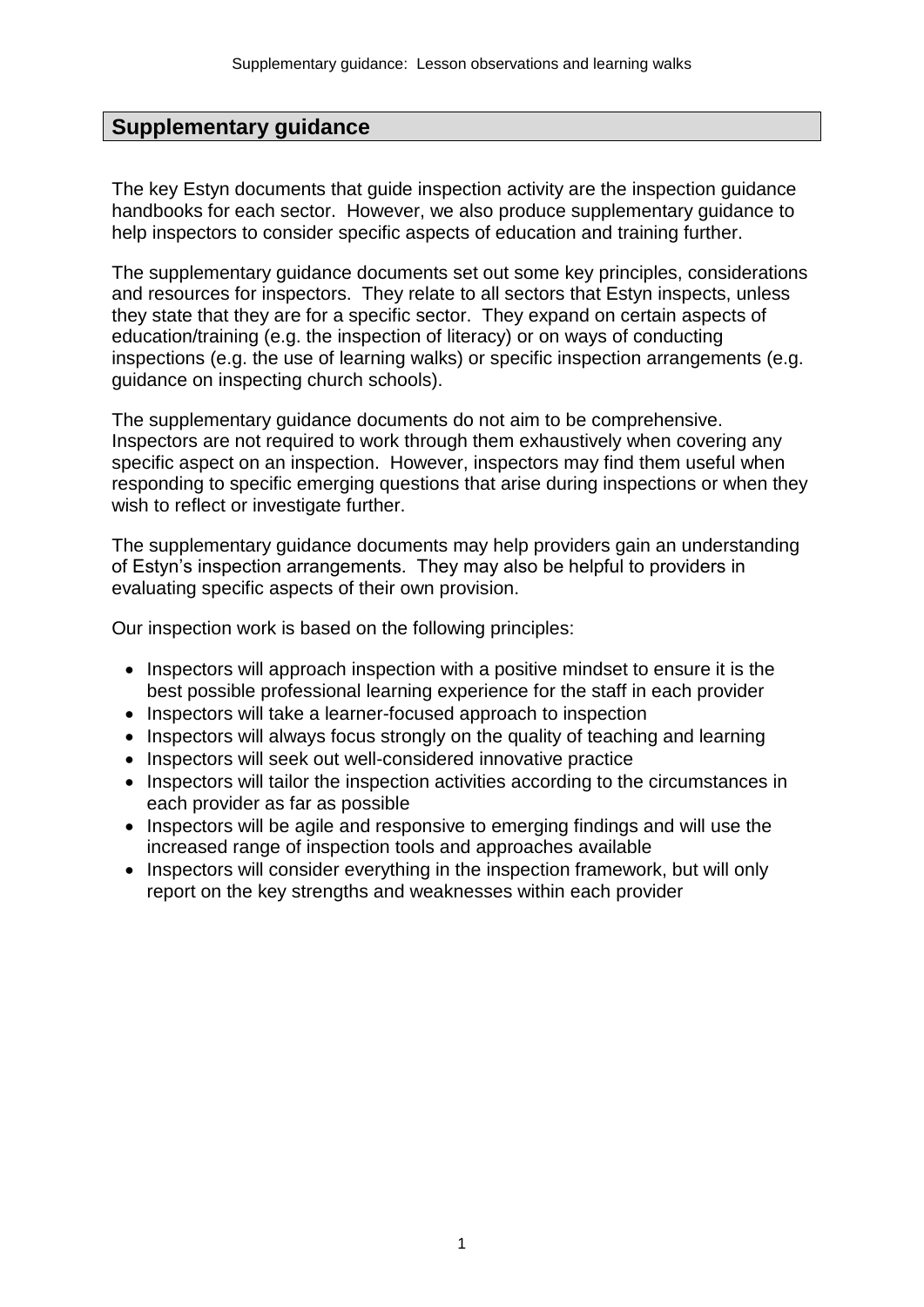# **Supplementary guidance**

The key Estyn documents that guide inspection activity are the inspection guidance handbooks for each sector. However, we also produce supplementary guidance to help inspectors to consider specific aspects of education and training further.

The supplementary guidance documents set out some key principles, considerations and resources for inspectors. They relate to all sectors that Estyn inspects, unless they state that they are for a specific sector. They expand on certain aspects of education/training (e.g. the inspection of literacy) or on ways of conducting inspections (e.g. the use of learning walks) or specific inspection arrangements (e.g. guidance on inspecting church schools).

The supplementary guidance documents do not aim to be comprehensive. Inspectors are not required to work through them exhaustively when covering any specific aspect on an inspection. However, inspectors may find them useful when responding to specific emerging questions that arise during inspections or when they wish to reflect or investigate further.

The supplementary guidance documents may help providers gain an understanding of Estyn's inspection arrangements. They may also be helpful to providers in evaluating specific aspects of their own provision.

Our inspection work is based on the following principles:

- Inspectors will approach inspection with a positive mindset to ensure it is the best possible professional learning experience for the staff in each provider
- Inspectors will take a learner-focused approach to inspection
- Inspectors will always focus strongly on the quality of teaching and learning
- Inspectors will seek out well-considered innovative practice
- Inspectors will tailor the inspection activities according to the circumstances in each provider as far as possible
- Inspectors will be agile and responsive to emerging findings and will use the increased range of inspection tools and approaches available
- Inspectors will consider everything in the inspection framework, but will only report on the key strengths and weaknesses within each provider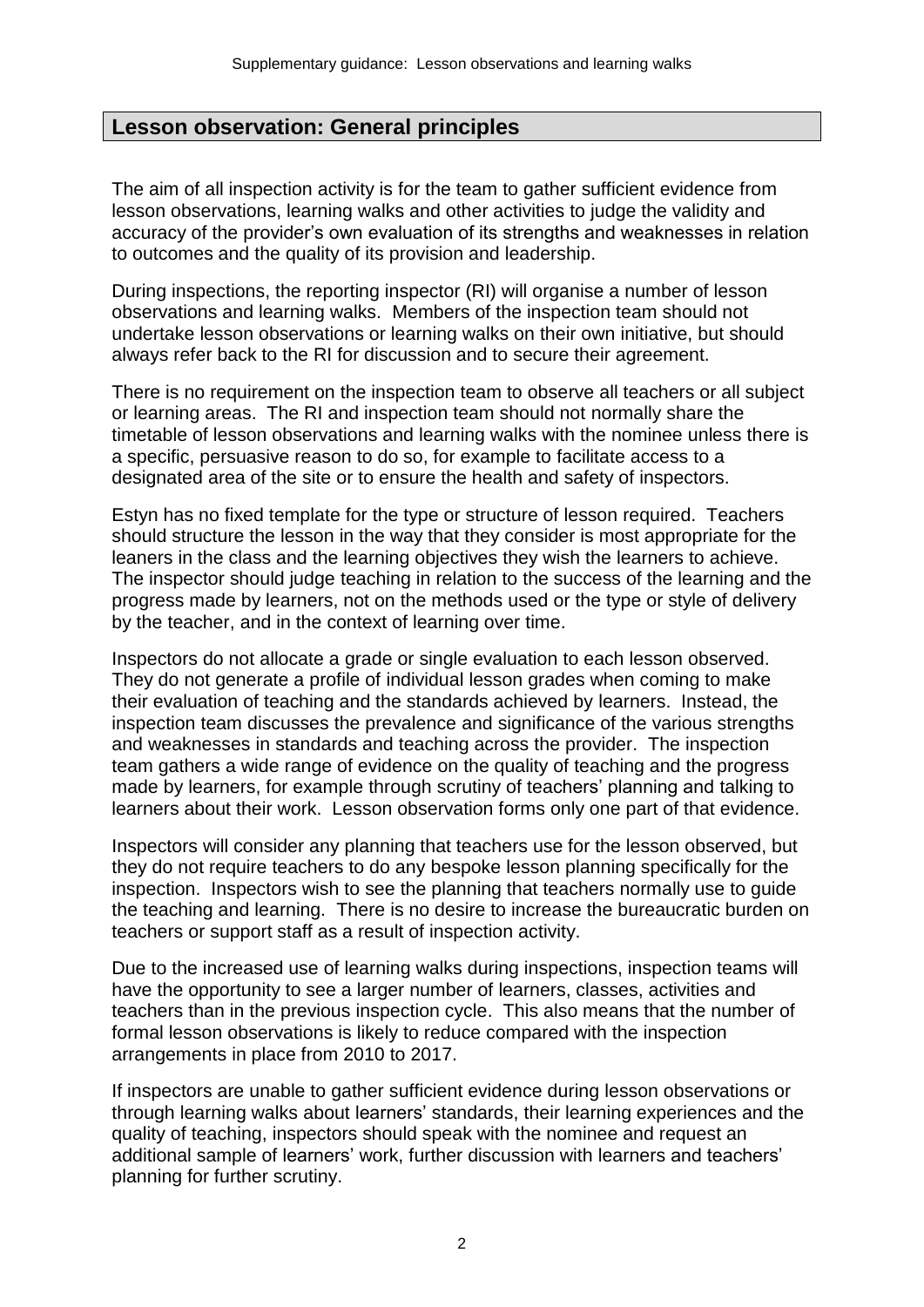# **Lesson observation: General principles**

The aim of all inspection activity is for the team to gather sufficient evidence from lesson observations, learning walks and other activities to judge the validity and accuracy of the provider's own evaluation of its strengths and weaknesses in relation to outcomes and the quality of its provision and leadership.

During inspections, the reporting inspector (RI) will organise a number of lesson observations and learning walks. Members of the inspection team should not undertake lesson observations or learning walks on their own initiative, but should always refer back to the RI for discussion and to secure their agreement.

There is no requirement on the inspection team to observe all teachers or all subject or learning areas. The RI and inspection team should not normally share the timetable of lesson observations and learning walks with the nominee unless there is a specific, persuasive reason to do so, for example to facilitate access to a designated area of the site or to ensure the health and safety of inspectors.

Estyn has no fixed template for the type or structure of lesson required. Teachers should structure the lesson in the way that they consider is most appropriate for the leaners in the class and the learning objectives they wish the learners to achieve. The inspector should judge teaching in relation to the success of the learning and the progress made by learners, not on the methods used or the type or style of delivery by the teacher, and in the context of learning over time.

Inspectors do not allocate a grade or single evaluation to each lesson observed. They do not generate a profile of individual lesson grades when coming to make their evaluation of teaching and the standards achieved by learners. Instead, the inspection team discusses the prevalence and significance of the various strengths and weaknesses in standards and teaching across the provider. The inspection team gathers a wide range of evidence on the quality of teaching and the progress made by learners, for example through scrutiny of teachers' planning and talking to learners about their work. Lesson observation forms only one part of that evidence.

Inspectors will consider any planning that teachers use for the lesson observed, but they do not require teachers to do any bespoke lesson planning specifically for the inspection. Inspectors wish to see the planning that teachers normally use to guide the teaching and learning. There is no desire to increase the bureaucratic burden on teachers or support staff as a result of inspection activity.

Due to the increased use of learning walks during inspections, inspection teams will have the opportunity to see a larger number of learners, classes, activities and teachers than in the previous inspection cycle. This also means that the number of formal lesson observations is likely to reduce compared with the inspection arrangements in place from 2010 to 2017.

If inspectors are unable to gather sufficient evidence during lesson observations or through learning walks about learners' standards, their learning experiences and the quality of teaching, inspectors should speak with the nominee and request an additional sample of learners' work, further discussion with learners and teachers' planning for further scrutiny.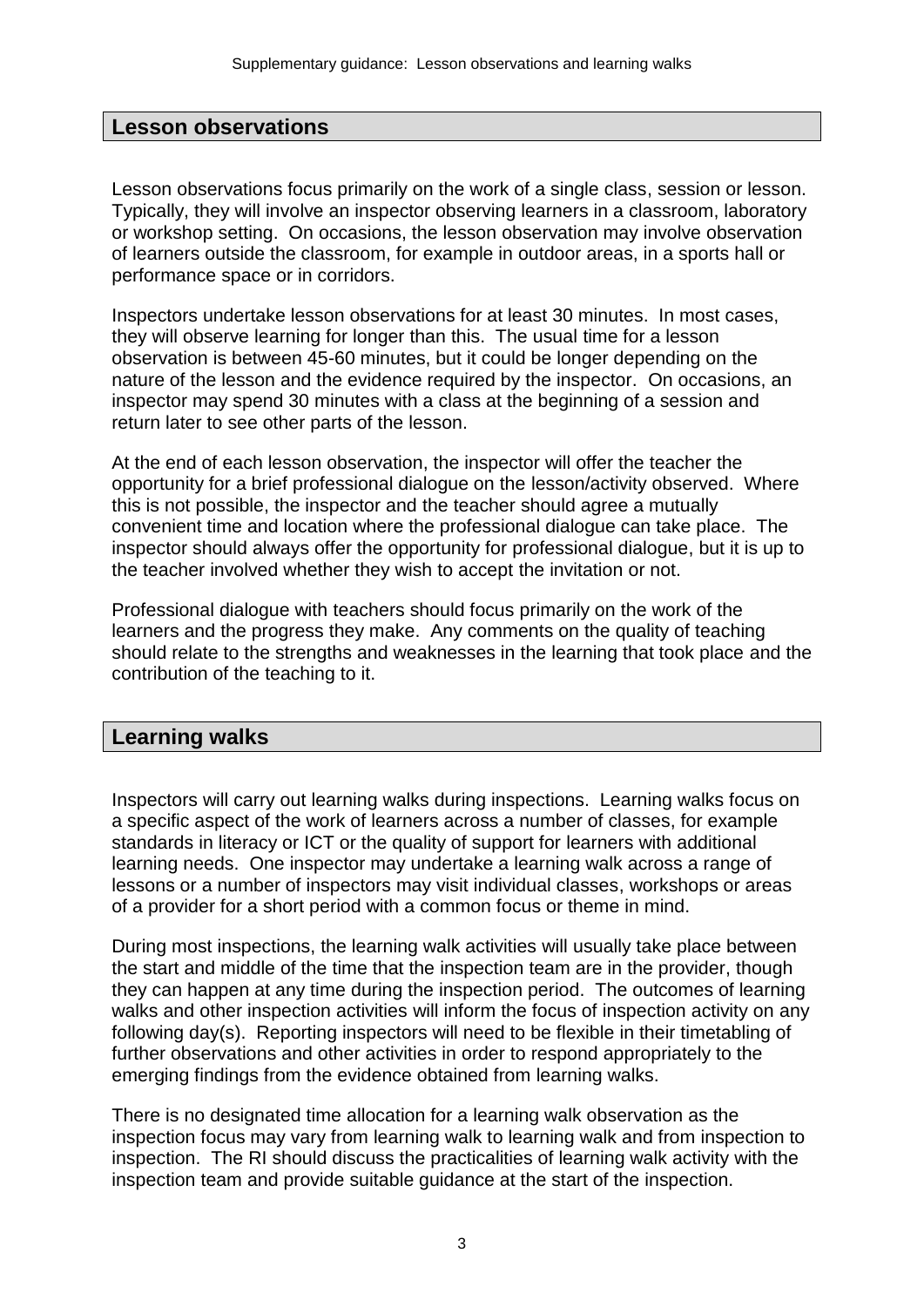### **Lesson observations**

Lesson observations focus primarily on the work of a single class, session or lesson. Typically, they will involve an inspector observing learners in a classroom, laboratory or workshop setting. On occasions, the lesson observation may involve observation of learners outside the classroom, for example in outdoor areas, in a sports hall or performance space or in corridors.

Inspectors undertake lesson observations for at least 30 minutes. In most cases, they will observe learning for longer than this. The usual time for a lesson observation is between 45-60 minutes, but it could be longer depending on the nature of the lesson and the evidence required by the inspector. On occasions, an inspector may spend 30 minutes with a class at the beginning of a session and return later to see other parts of the lesson.

At the end of each lesson observation, the inspector will offer the teacher the opportunity for a brief professional dialogue on the lesson/activity observed. Where this is not possible, the inspector and the teacher should agree a mutually convenient time and location where the professional dialogue can take place. The inspector should always offer the opportunity for professional dialogue, but it is up to the teacher involved whether they wish to accept the invitation or not.

Professional dialogue with teachers should focus primarily on the work of the learners and the progress they make. Any comments on the quality of teaching should relate to the strengths and weaknesses in the learning that took place and the contribution of the teaching to it.

#### **Learning walks**

Inspectors will carry out learning walks during inspections. Learning walks focus on a specific aspect of the work of learners across a number of classes, for example standards in literacy or ICT or the quality of support for learners with additional learning needs. One inspector may undertake a learning walk across a range of lessons or a number of inspectors may visit individual classes, workshops or areas of a provider for a short period with a common focus or theme in mind.

During most inspections, the learning walk activities will usually take place between the start and middle of the time that the inspection team are in the provider, though they can happen at any time during the inspection period. The outcomes of learning walks and other inspection activities will inform the focus of inspection activity on any following day(s). Reporting inspectors will need to be flexible in their timetabling of further observations and other activities in order to respond appropriately to the emerging findings from the evidence obtained from learning walks.

There is no designated time allocation for a learning walk observation as the inspection focus may vary from learning walk to learning walk and from inspection to inspection. The RI should discuss the practicalities of learning walk activity with the inspection team and provide suitable guidance at the start of the inspection.